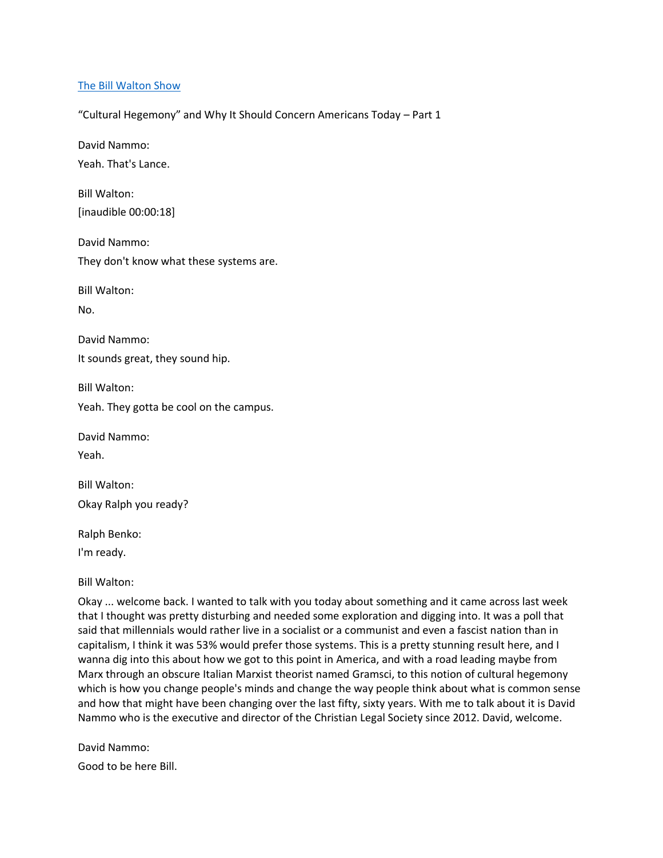## [The Bill Walton Show](https://thebillwaltonshow.com/)

"Cultural Hegemony" and Why It Should Concern Americans Today – Part 1

David Nammo: Yeah. That's Lance.

Bill Walton: [inaudible 00:00:18]

David Nammo: They don't know what these systems are.

Bill Walton:

No.

David Nammo:

It sounds great, they sound hip.

Bill Walton:

Yeah. They gotta be cool on the campus.

David Nammo:

Yeah.

Bill Walton: Okay Ralph you ready?

Ralph Benko:

I'm ready.

Bill Walton:

Okay ... welcome back. I wanted to talk with you today about something and it came across last week that I thought was pretty disturbing and needed some exploration and digging into. It was a poll that said that millennials would rather live in a socialist or a communist and even a fascist nation than in capitalism, I think it was 53% would prefer those systems. This is a pretty stunning result here, and I wanna dig into this about how we got to this point in America, and with a road leading maybe from Marx through an obscure Italian Marxist theorist named Gramsci, to this notion of cultural hegemony which is how you change people's minds and change the way people think about what is common sense and how that might have been changing over the last fifty, sixty years. With me to talk about it is David Nammo who is the executive and director of the Christian Legal Society since 2012. David, welcome.

David Nammo: Good to be here Bill.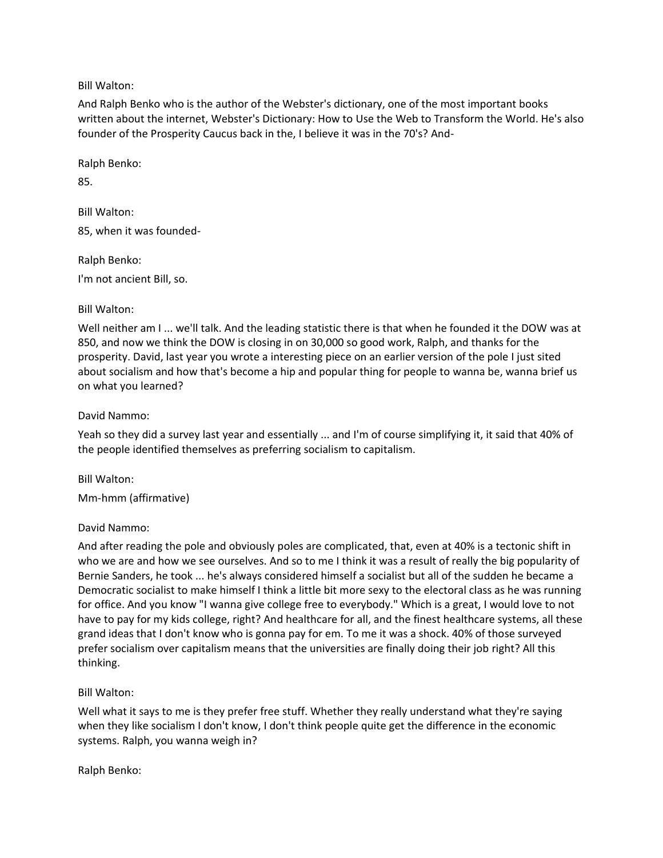Bill Walton:

And Ralph Benko who is the author of the Webster's dictionary, one of the most important books written about the internet, Webster's Dictionary: How to Use the Web to Transform the World. He's also founder of the Prosperity Caucus back in the, I believe it was in the 70's? And-

Ralph Benko:

85.

Bill Walton: 85, when it was founded-

Ralph Benko:

I'm not ancient Bill, so.

Bill Walton:

Well neither am I ... we'll talk. And the leading statistic there is that when he founded it the DOW was at 850, and now we think the DOW is closing in on 30,000 so good work, Ralph, and thanks for the prosperity. David, last year you wrote a interesting piece on an earlier version of the pole I just sited about socialism and how that's become a hip and popular thing for people to wanna be, wanna brief us on what you learned?

## David Nammo:

Yeah so they did a survey last year and essentially ... and I'm of course simplifying it, it said that 40% of the people identified themselves as preferring socialism to capitalism.

Bill Walton:

Mm-hmm (affirmative)

# David Nammo:

And after reading the pole and obviously poles are complicated, that, even at 40% is a tectonic shift in who we are and how we see ourselves. And so to me I think it was a result of really the big popularity of Bernie Sanders, he took ... he's always considered himself a socialist but all of the sudden he became a Democratic socialist to make himself I think a little bit more sexy to the electoral class as he was running for office. And you know "I wanna give college free to everybody." Which is a great, I would love to not have to pay for my kids college, right? And healthcare for all, and the finest healthcare systems, all these grand ideas that I don't know who is gonna pay for em. To me it was a shock. 40% of those surveyed prefer socialism over capitalism means that the universities are finally doing their job right? All this thinking.

Bill Walton:

Well what it says to me is they prefer free stuff. Whether they really understand what they're saying when they like socialism I don't know, I don't think people quite get the difference in the economic systems. Ralph, you wanna weigh in?

Ralph Benko: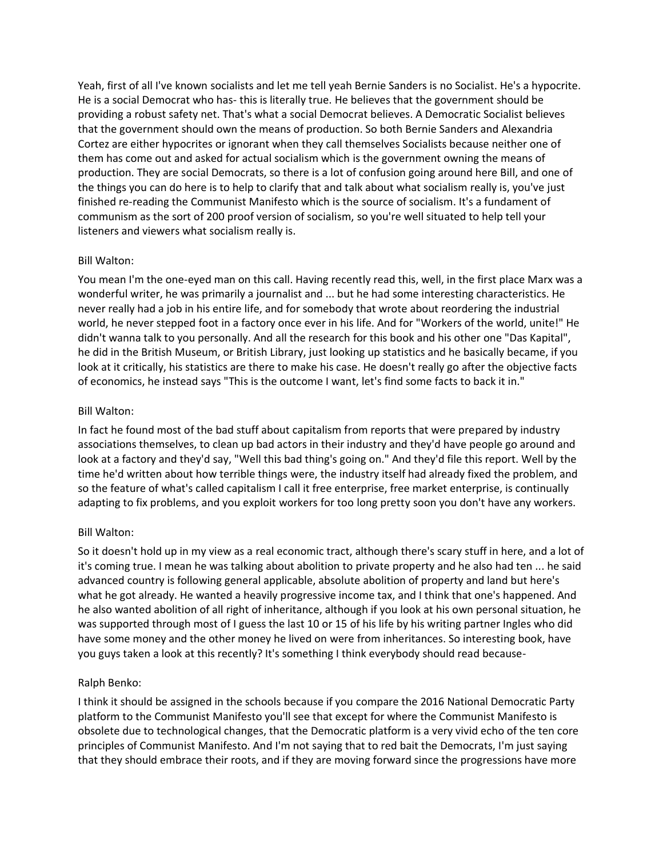Yeah, first of all I've known socialists and let me tell yeah Bernie Sanders is no Socialist. He's a hypocrite. He is a social Democrat who has- this is literally true. He believes that the government should be providing a robust safety net. That's what a social Democrat believes. A Democratic Socialist believes that the government should own the means of production. So both Bernie Sanders and Alexandria Cortez are either hypocrites or ignorant when they call themselves Socialists because neither one of them has come out and asked for actual socialism which is the government owning the means of production. They are social Democrats, so there is a lot of confusion going around here Bill, and one of the things you can do here is to help to clarify that and talk about what socialism really is, you've just finished re-reading the Communist Manifesto which is the source of socialism. It's a fundament of communism as the sort of 200 proof version of socialism, so you're well situated to help tell your listeners and viewers what socialism really is.

## Bill Walton:

You mean I'm the one-eyed man on this call. Having recently read this, well, in the first place Marx was a wonderful writer, he was primarily a journalist and ... but he had some interesting characteristics. He never really had a job in his entire life, and for somebody that wrote about reordering the industrial world, he never stepped foot in a factory once ever in his life. And for "Workers of the world, unite!" He didn't wanna talk to you personally. And all the research for this book and his other one "Das Kapital", he did in the British Museum, or British Library, just looking up statistics and he basically became, if you look at it critically, his statistics are there to make his case. He doesn't really go after the objective facts of economics, he instead says "This is the outcome I want, let's find some facts to back it in."

## Bill Walton:

In fact he found most of the bad stuff about capitalism from reports that were prepared by industry associations themselves, to clean up bad actors in their industry and they'd have people go around and look at a factory and they'd say, "Well this bad thing's going on." And they'd file this report. Well by the time he'd written about how terrible things were, the industry itself had already fixed the problem, and so the feature of what's called capitalism I call it free enterprise, free market enterprise, is continually adapting to fix problems, and you exploit workers for too long pretty soon you don't have any workers.

### Bill Walton:

So it doesn't hold up in my view as a real economic tract, although there's scary stuff in here, and a lot of it's coming true. I mean he was talking about abolition to private property and he also had ten ... he said advanced country is following general applicable, absolute abolition of property and land but here's what he got already. He wanted a heavily progressive income tax, and I think that one's happened. And he also wanted abolition of all right of inheritance, although if you look at his own personal situation, he was supported through most of I guess the last 10 or 15 of his life by his writing partner Ingles who did have some money and the other money he lived on were from inheritances. So interesting book, have you guys taken a look at this recently? It's something I think everybody should read because-

### Ralph Benko:

I think it should be assigned in the schools because if you compare the 2016 National Democratic Party platform to the Communist Manifesto you'll see that except for where the Communist Manifesto is obsolete due to technological changes, that the Democratic platform is a very vivid echo of the ten core principles of Communist Manifesto. And I'm not saying that to red bait the Democrats, I'm just saying that they should embrace their roots, and if they are moving forward since the progressions have more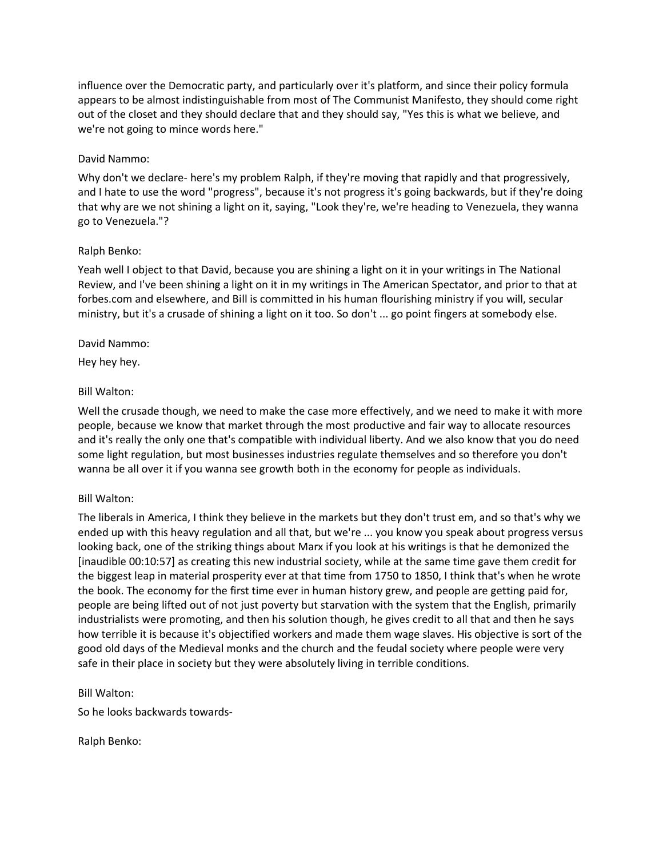influence over the Democratic party, and particularly over it's platform, and since their policy formula appears to be almost indistinguishable from most of The Communist Manifesto, they should come right out of the closet and they should declare that and they should say, "Yes this is what we believe, and we're not going to mince words here."

## David Nammo:

Why don't we declare- here's my problem Ralph, if they're moving that rapidly and that progressively, and I hate to use the word "progress", because it's not progress it's going backwards, but if they're doing that why are we not shining a light on it, saying, "Look they're, we're heading to Venezuela, they wanna go to Venezuela."?

## Ralph Benko:

Yeah well I object to that David, because you are shining a light on it in your writings in The National Review, and I've been shining a light on it in my writings in The American Spectator, and prior to that at forbes.com and elsewhere, and Bill is committed in his human flourishing ministry if you will, secular ministry, but it's a crusade of shining a light on it too. So don't ... go point fingers at somebody else.

## David Nammo:

Hey hey hey.

## Bill Walton:

Well the crusade though, we need to make the case more effectively, and we need to make it with more people, because we know that market through the most productive and fair way to allocate resources and it's really the only one that's compatible with individual liberty. And we also know that you do need some light regulation, but most businesses industries regulate themselves and so therefore you don't wanna be all over it if you wanna see growth both in the economy for people as individuals.

### Bill Walton:

The liberals in America, I think they believe in the markets but they don't trust em, and so that's why we ended up with this heavy regulation and all that, but we're ... you know you speak about progress versus looking back, one of the striking things about Marx if you look at his writings is that he demonized the [inaudible 00:10:57] as creating this new industrial society, while at the same time gave them credit for the biggest leap in material prosperity ever at that time from 1750 to 1850, I think that's when he wrote the book. The economy for the first time ever in human history grew, and people are getting paid for, people are being lifted out of not just poverty but starvation with the system that the English, primarily industrialists were promoting, and then his solution though, he gives credit to all that and then he says how terrible it is because it's objectified workers and made them wage slaves. His objective is sort of the good old days of the Medieval monks and the church and the feudal society where people were very safe in their place in society but they were absolutely living in terrible conditions.

# Bill Walton:

So he looks backwards towards-

Ralph Benko: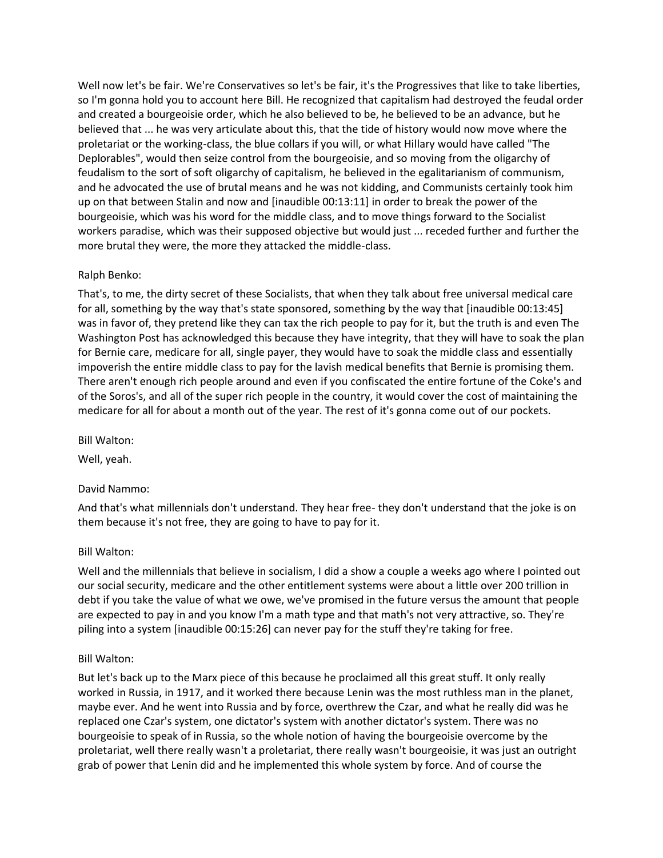Well now let's be fair. We're Conservatives so let's be fair, it's the Progressives that like to take liberties, so I'm gonna hold you to account here Bill. He recognized that capitalism had destroyed the feudal order and created a bourgeoisie order, which he also believed to be, he believed to be an advance, but he believed that ... he was very articulate about this, that the tide of history would now move where the proletariat or the working-class, the blue collars if you will, or what Hillary would have called "The Deplorables", would then seize control from the bourgeoisie, and so moving from the oligarchy of feudalism to the sort of soft oligarchy of capitalism, he believed in the egalitarianism of communism, and he advocated the use of brutal means and he was not kidding, and Communists certainly took him up on that between Stalin and now and [inaudible 00:13:11] in order to break the power of the bourgeoisie, which was his word for the middle class, and to move things forward to the Socialist workers paradise, which was their supposed objective but would just ... receded further and further the more brutal they were, the more they attacked the middle-class.

# Ralph Benko:

That's, to me, the dirty secret of these Socialists, that when they talk about free universal medical care for all, something by the way that's state sponsored, something by the way that [inaudible 00:13:45] was in favor of, they pretend like they can tax the rich people to pay for it, but the truth is and even The Washington Post has acknowledged this because they have integrity, that they will have to soak the plan for Bernie care, medicare for all, single payer, they would have to soak the middle class and essentially impoverish the entire middle class to pay for the lavish medical benefits that Bernie is promising them. There aren't enough rich people around and even if you confiscated the entire fortune of the Coke's and of the Soros's, and all of the super rich people in the country, it would cover the cost of maintaining the medicare for all for about a month out of the year. The rest of it's gonna come out of our pockets.

Bill Walton:

Well, yeah.

# David Nammo:

And that's what millennials don't understand. They hear free- they don't understand that the joke is on them because it's not free, they are going to have to pay for it.

# Bill Walton:

Well and the millennials that believe in socialism, I did a show a couple a weeks ago where I pointed out our social security, medicare and the other entitlement systems were about a little over 200 trillion in debt if you take the value of what we owe, we've promised in the future versus the amount that people are expected to pay in and you know I'm a math type and that math's not very attractive, so. They're piling into a system [inaudible 00:15:26] can never pay for the stuff they're taking for free.

# Bill Walton:

But let's back up to the Marx piece of this because he proclaimed all this great stuff. It only really worked in Russia, in 1917, and it worked there because Lenin was the most ruthless man in the planet, maybe ever. And he went into Russia and by force, overthrew the Czar, and what he really did was he replaced one Czar's system, one dictator's system with another dictator's system. There was no bourgeoisie to speak of in Russia, so the whole notion of having the bourgeoisie overcome by the proletariat, well there really wasn't a proletariat, there really wasn't bourgeoisie, it was just an outright grab of power that Lenin did and he implemented this whole system by force. And of course the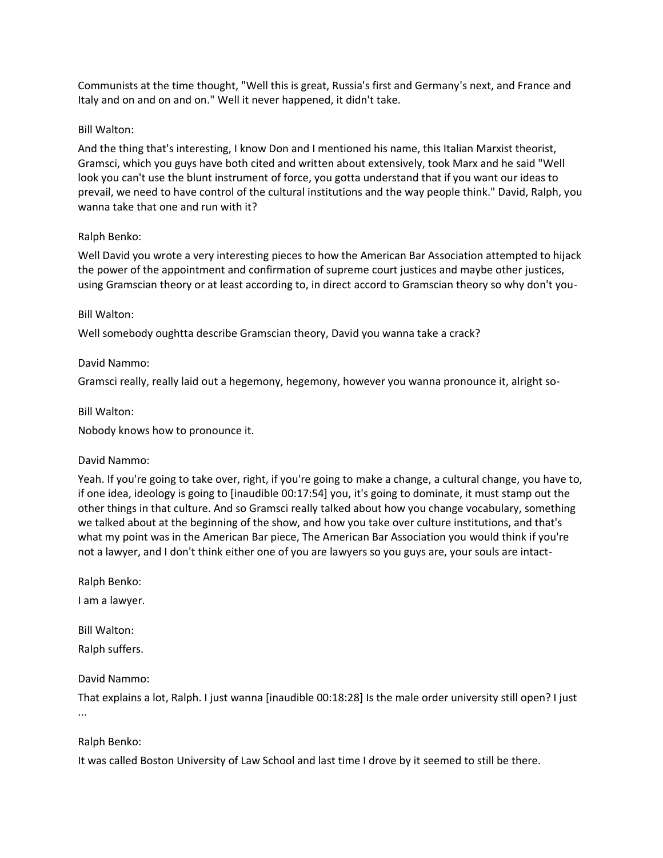Communists at the time thought, "Well this is great, Russia's first and Germany's next, and France and Italy and on and on and on." Well it never happened, it didn't take.

## Bill Walton:

And the thing that's interesting, I know Don and I mentioned his name, this Italian Marxist theorist, Gramsci, which you guys have both cited and written about extensively, took Marx and he said "Well look you can't use the blunt instrument of force, you gotta understand that if you want our ideas to prevail, we need to have control of the cultural institutions and the way people think." David, Ralph, you wanna take that one and run with it?

# Ralph Benko:

Well David you wrote a very interesting pieces to how the American Bar Association attempted to hijack the power of the appointment and confirmation of supreme court justices and maybe other justices, using Gramscian theory or at least according to, in direct accord to Gramscian theory so why don't you-

## Bill Walton:

Well somebody oughtta describe Gramscian theory, David you wanna take a crack?

## David Nammo:

Gramsci really, really laid out a hegemony, hegemony, however you wanna pronounce it, alright so-

## Bill Walton:

Nobody knows how to pronounce it.

### David Nammo:

Yeah. If you're going to take over, right, if you're going to make a change, a cultural change, you have to, if one idea, ideology is going to [inaudible 00:17:54] you, it's going to dominate, it must stamp out the other things in that culture. And so Gramsci really talked about how you change vocabulary, something we talked about at the beginning of the show, and how you take over culture institutions, and that's what my point was in the American Bar piece, The American Bar Association you would think if you're not a lawyer, and I don't think either one of you are lawyers so you guys are, your souls are intact-

Ralph Benko:

I am a lawyer.

Bill Walton:

Ralph suffers.

# David Nammo:

That explains a lot, Ralph. I just wanna [inaudible 00:18:28] Is the male order university still open? I just ...

# Ralph Benko:

It was called Boston University of Law School and last time I drove by it seemed to still be there.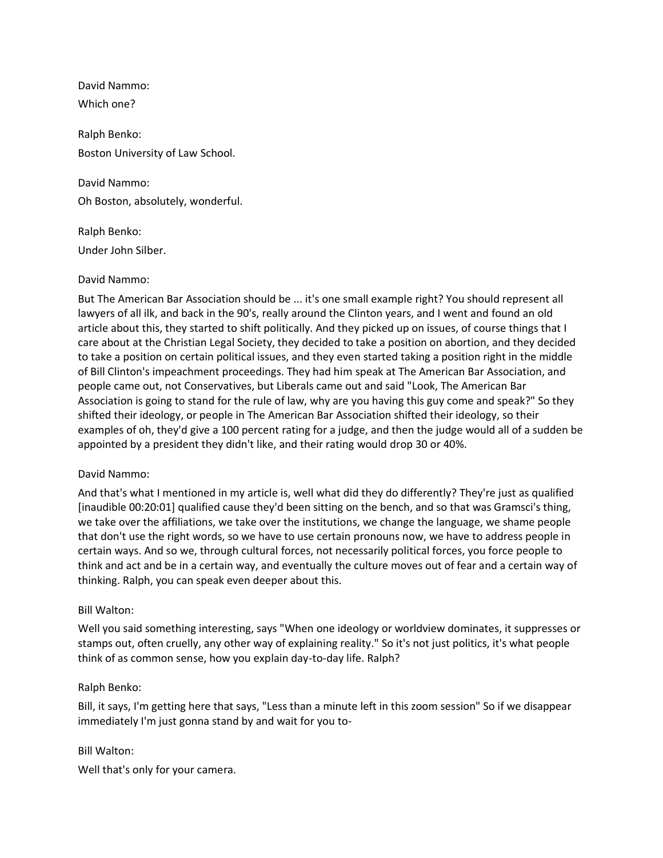David Nammo: Which one?

Ralph Benko: Boston University of Law School.

David Nammo: Oh Boston, absolutely, wonderful.

Ralph Benko: Under John Silber.

# David Nammo:

But The American Bar Association should be ... it's one small example right? You should represent all lawyers of all ilk, and back in the 90's, really around the Clinton years, and I went and found an old article about this, they started to shift politically. And they picked up on issues, of course things that I care about at the Christian Legal Society, they decided to take a position on abortion, and they decided to take a position on certain political issues, and they even started taking a position right in the middle of Bill Clinton's impeachment proceedings. They had him speak at The American Bar Association, and people came out, not Conservatives, but Liberals came out and said "Look, The American Bar Association is going to stand for the rule of law, why are you having this guy come and speak?" So they shifted their ideology, or people in The American Bar Association shifted their ideology, so their examples of oh, they'd give a 100 percent rating for a judge, and then the judge would all of a sudden be appointed by a president they didn't like, and their rating would drop 30 or 40%.

# David Nammo:

And that's what I mentioned in my article is, well what did they do differently? They're just as qualified [inaudible 00:20:01] qualified cause they'd been sitting on the bench, and so that was Gramsci's thing, we take over the affiliations, we take over the institutions, we change the language, we shame people that don't use the right words, so we have to use certain pronouns now, we have to address people in certain ways. And so we, through cultural forces, not necessarily political forces, you force people to think and act and be in a certain way, and eventually the culture moves out of fear and a certain way of thinking. Ralph, you can speak even deeper about this.

# Bill Walton:

Well you said something interesting, says "When one ideology or worldview dominates, it suppresses or stamps out, often cruelly, any other way of explaining reality." So it's not just politics, it's what people think of as common sense, how you explain day-to-day life. Ralph?

# Ralph Benko:

Bill, it says, I'm getting here that says, "Less than a minute left in this zoom session" So if we disappear immediately I'm just gonna stand by and wait for you to-

### Bill Walton:

Well that's only for your camera.